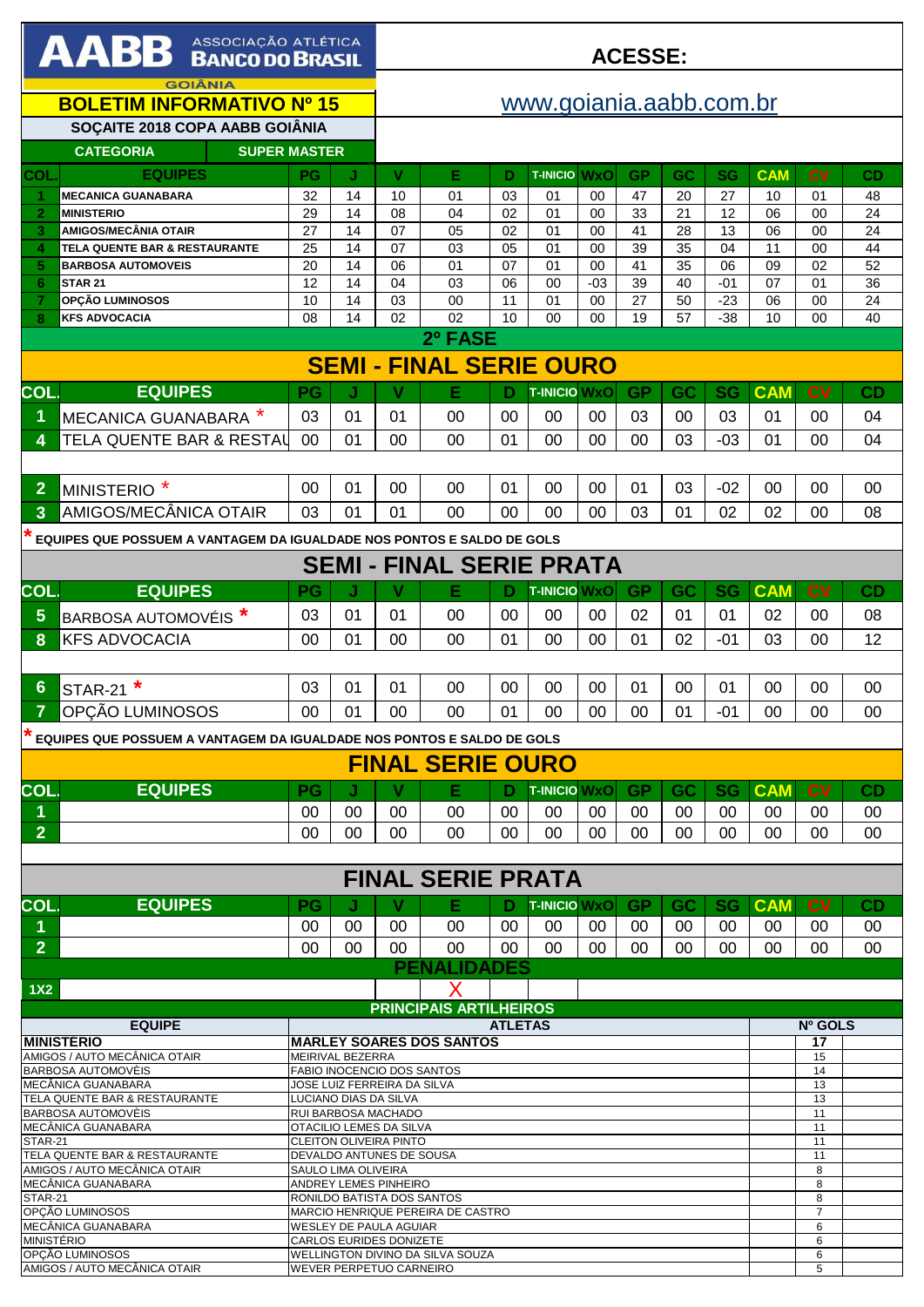| AABB ASSOCIAÇÃO ATLÉTICA                                                                                    |                                                                                 |                                                     |                               | <b>ACESSE:</b> |                                  |          |                     |             |           |                       |             |               |                |          |
|-------------------------------------------------------------------------------------------------------------|---------------------------------------------------------------------------------|-----------------------------------------------------|-------------------------------|----------------|----------------------------------|----------|---------------------|-------------|-----------|-----------------------|-------------|---------------|----------------|----------|
| <b>GOIÂNIA</b><br><b>BOLETIM INFORMATIVO Nº 15</b>                                                          |                                                                                 |                                                     |                               |                | www.goiania.aabb.com.br          |          |                     |             |           |                       |             |               |                |          |
| SOÇAITE 2018 COPA AABB GOIÂNIA<br><b>SUPER MASTER</b><br><b>CATEGORIA</b>                                   |                                                                                 |                                                     |                               |                |                                  |          |                     |             |           |                       |             |               |                |          |
| <b>COL</b>                                                                                                  | <b>EQUIPES</b>                                                                  | PG                                                  | J                             | V              | Е                                | D        | <b>T-INICIO WXO</b> |             | <b>GP</b> | GC                    | <b>SG</b>   | <b>CAM</b>    | <b>CV</b>      | CD       |
|                                                                                                             | <b>MECANICA GUANABARA</b>                                                       | 32                                                  | 14                            | 10             | 01                               | 03       | 01                  | 00          | 47        | 20                    | 27          | 10            | 01             | 48       |
| $\overline{2}$                                                                                              | <b>MINISTERIO</b>                                                               | 29                                                  | 14                            | 08             | 04                               | 02       | 01                  | 00          | 33        | 21                    | 12          | 06            | 00             | 24       |
| 3                                                                                                           | <b>AMIGOS/MECÂNIA OTAIR</b>                                                     | 27                                                  | 14                            | 07             | 05                               | 02       | 01                  | 00          | 41        | 28                    | 13          | 06            | 00             | 24       |
| 4                                                                                                           | TELA QUENTE BAR & RESTAURANTE                                                   | 25                                                  | 14                            | 07             | 03                               | 05       | 01                  | 00          | 39        | 35                    | 04          | 11            | 00             | 44       |
| 5<br>6                                                                                                      | <b>BARBOSA AUTOMOVEIS</b><br><b>STAR 21</b>                                     | 20<br>12                                            | 14<br>14                      | 06<br>04       | 01<br>03                         | 07<br>06 | 01<br>00            | 00<br>$-03$ | 41<br>39  | $\overline{35}$<br>40 | 06<br>$-01$ | 09<br>07      | 02<br>01       | 52<br>36 |
|                                                                                                             | OPÇÃO LUMINOSOS                                                                 | 10                                                  | 14                            | 03             | 00                               | 11       | 01                  | 00          | 27        | 50                    | $-23$       | 06            | 00             | 24       |
| 8                                                                                                           | <b>KFS ADVOCACIA</b>                                                            | 08                                                  | 14                            | 02             | 02                               | 10       | 00                  | 00          | 19        | 57                    | $-38$       | 10            | 00             | 40       |
| 2º FASE                                                                                                     |                                                                                 |                                                     |                               |                |                                  |          |                     |             |           |                       |             |               |                |          |
|                                                                                                             | <b>SEMI - FINAL SERIE OURO</b>                                                  |                                                     |                               |                |                                  |          |                     |             |           |                       |             |               |                |          |
| COL.                                                                                                        | <b>EQUIPES</b>                                                                  | <b>PG</b>                                           | J                             | v              | Е                                | D        | <b>T-INICIO WXO</b> |             | <b>GP</b> | GC                    | <b>SG</b>   | <b>CAM</b>    | <b>CV</b>      | CD       |
| 1                                                                                                           | MECANICA GUANABARA *                                                            | 03                                                  | 01                            | 01             | 00                               | 00       | 00                  | 00          | 03        | 00                    | 03          | 01            | 00             | 04       |
| 4                                                                                                           | TELA QUENTE BAR & RESTAL                                                        | 00                                                  | 01                            | 00             | 00                               | 01       | 00                  | 00          | 00        | 03                    | $-03$       | 01            | 00             | 04       |
|                                                                                                             |                                                                                 |                                                     |                               |                |                                  |          |                     |             |           |                       |             |               |                |          |
| $\overline{2}$                                                                                              | MINISTERIO <sup>*</sup>                                                         | 00                                                  | 01                            | 00             | 00                               | 01       | 00                  | 00          | 01        | 03                    | $-02$       | 00            | 00             | 00       |
| 3                                                                                                           | AMIGOS/MECÂNICA OTAIR                                                           | 03                                                  | 01                            | 01             | 00                               | 00       | 00                  | 00          | 03        | 01                    | 02          | 02            | 00             | 08       |
|                                                                                                             | EQUIPES QUE POSSUEM A VANTAGEM DA IGUALDADE NOS PONTOS E SALDO DE GOLS          |                                                     |                               |                |                                  |          |                     |             |           |                       |             |               |                |          |
|                                                                                                             |                                                                                 |                                                     |                               |                | <b>SEMI - FINAL SERIE PRATA</b>  |          |                     |             |           |                       |             |               |                |          |
| COL.                                                                                                        | <b>EQUIPES</b>                                                                  | PG                                                  | J                             | V              | Е                                | D        | <b>T-INICIO WXO</b> |             | <b>GP</b> | GC                    | <b>SG</b>   | <b>CAM</b>    | <b>CV</b>      | CD       |
| 5                                                                                                           | BARBOSA AUTOMOVÉIS <sup>*</sup>                                                 | 03                                                  | 01                            | 01             | 00                               | 00       | 00                  | $00\,$      | 02        | 01                    | 01          | 02            | 00             | 08       |
| 8                                                                                                           | <b>KFS ADVOCACIA</b>                                                            | 00                                                  | 01                            | 00             | 00                               | 01       | 00                  | 00          | 01        | 02                    | $-01$       | 03            | 00             | 12       |
|                                                                                                             |                                                                                 |                                                     |                               |                |                                  |          |                     |             |           |                       |             |               |                |          |
| 6                                                                                                           | $\ast$<br>STAR-21                                                               | 03                                                  | 01                            | 01             | 00                               | 00       | 00                  | 00          | 01        | 00                    | 01          | 00            | 00             | 00       |
| 7                                                                                                           | OPÇÃO LUMINOSOS                                                                 | 00                                                  | 01                            | 00             | 00                               | 01       | 00                  | 00          | $00\,$    | 01                    | -01         | 00            | 00             | 00       |
|                                                                                                             |                                                                                 |                                                     |                               |                |                                  |          |                     |             |           |                       |             |               |                |          |
|                                                                                                             | EQUIPES QUE POSSUEM A VANTAGEM DA IGUALDADE NOS PONTOS E SALDO DE GOLS          |                                                     |                               |                | <b>FINAL SERIE OURO</b>          |          |                     |             |           |                       |             |               |                |          |
|                                                                                                             |                                                                                 |                                                     |                               |                |                                  |          |                     |             |           |                       |             |               |                |          |
| <b>COL</b>                                                                                                  | <b>EQUIPES</b>                                                                  | <b>PG</b>                                           | J                             | v              | Е                                | D        | <b>T-INICIO WxO</b> |             | GP.       | <b>GC</b>             | <b>SG</b>   | <b>CAM</b>    | CV             | CD       |
| 1.                                                                                                          |                                                                                 | 00                                                  | 00                            | $00\,$         | 00                               | 00       | 00                  | 00          | 00        | 00                    | $00 \,$     | 00            | 00             | 00       |
| $\overline{2}$                                                                                              |                                                                                 | $00 \,$                                             | $00\,$                        | 00             | $00\,$                           | $00 \,$  | $00\,$              | $00\,$      | $00 \,$   | 00                    | $00 \,$     | 00            | 00             | 00       |
|                                                                                                             |                                                                                 |                                                     |                               |                | <b>FINAL SERIE PRATA</b>         |          |                     |             |           |                       |             |               |                |          |
| COL.                                                                                                        | <b>EQUIPES</b>                                                                  | <b>PG</b>                                           | J                             | v              | Е                                | D        | <b>T-INICIO WxO</b> |             | GP.       | GC                    | <b>SG</b>   | <b>CAM</b>    | c <sub>V</sub> | CD       |
| 1.                                                                                                          |                                                                                 | 00                                                  | 00                            | 00             | 00                               | 00       | 00                  | 00          | 00        | 00                    | 00          | 00            | 00             | 00       |
| $\overline{2}$                                                                                              |                                                                                 | $00\,$                                              | 00                            | 00             | 00                               | 00       | 00                  | $00\,$      | 00        | 00                    | 00          | $00\,$        | 00             | 00       |
|                                                                                                             |                                                                                 |                                                     |                               |                | <b>PENALIDADES</b>               |          |                     |             |           |                       |             |               |                |          |
| 1X2                                                                                                         |                                                                                 |                                                     |                               |                |                                  |          |                     |             |           |                       |             |               |                |          |
|                                                                                                             |                                                                                 |                                                     | <b>PRINCIPAIS ARTILHEIROS</b> |                |                                  |          |                     |             |           |                       |             |               |                |          |
| <b>MINISTÉRIO</b>                                                                                           | <b>EQUIPE</b>                                                                   | <b>ATLETAS</b>                                      |                               |                |                                  |          |                     |             |           |                       |             | Nº GOLS<br>17 |                |          |
|                                                                                                             | AMIGOS / AUTO MECÂNICA OTAIR                                                    | <b>MARLEY SOARES DOS SANTOS</b><br>MEIRIVAL BEZERRA |                               |                |                                  |          |                     |             |           |                       |             |               | 15             |          |
|                                                                                                             | BARBOSA AUTOMOVÈIS<br>FABIO INOCENCIO DOS SANTOS<br>JOSE LUIZ FERREIRA DA SILVA |                                                     |                               |                |                                  |          |                     |             |           |                       |             |               | 14             |          |
|                                                                                                             | MECÂNICA GUANABARA<br>TELA QUENTE BAR & RESTAURANTE                             |                                                     | LUCIANO DIAS DA SILVA         |                |                                  |          |                     |             |           |                       |             |               | 13<br>13       |          |
|                                                                                                             | BARBOSA AUTOMOVÈIS                                                              |                                                     | RUI BARBOSA MACHADO           |                |                                  |          |                     |             |           |                       |             |               | 11             |          |
| <b>STAR-21</b>                                                                                              | MECÂNICA GUANABARA                                                              |                                                     | OTACILIO LEMES DA SILVA       |                |                                  |          |                     |             |           |                       |             |               | 11<br>11       |          |
| CLEITON OLIVEIRA PINTO<br>TELA QUENTE BAR & RESTAURANTE<br>DEVALDO ANTUNES DE SOUSA                         |                                                                                 |                                                     |                               |                |                                  |          |                     |             |           |                       | 11          |               |                |          |
| AMIGOS / AUTO MECÂNICA OTAIR<br>SAULO LIMA OLIVEIRA<br>MECÂNICA GUANABARA<br>ANDREY LEMES PINHEIRO          |                                                                                 |                                                     |                               |                |                                  |          |                     |             |           |                       | 8<br>8      |               |                |          |
| RONILDO BATISTA DOS SANTOS<br>STAR-21                                                                       |                                                                                 |                                                     |                               |                |                                  |          |                     |             |           |                       |             | 8             |                |          |
| OPCÃO LUMINOSOS<br>MARCIO HENRIQUE PEREIRA DE CASTRO<br>MECÂNICA GUANABARA<br><b>WESLEY DE PAULA AGUIAR</b> |                                                                                 |                                                     |                               |                |                                  |          |                     |             |           | 7<br>6                |             |               |                |          |
| <b>MINISTÉRIO</b><br>CARLOS EURIDES DONIZETE                                                                |                                                                                 |                                                     |                               |                |                                  |          |                     |             |           | 6                     |             |               |                |          |
|                                                                                                             | OPCÃO LUMINOSOS                                                                 |                                                     |                               |                | WELLINGTON DIVINO DA SILVA SOUZA |          |                     |             |           |                       |             |               | 6<br>5         |          |
| AMIGOS / AUTO MECÂNICA OTAIR<br>WEVER PERPETUO CARNEIRO                                                     |                                                                                 |                                                     |                               |                |                                  |          |                     |             |           |                       |             |               |                |          |